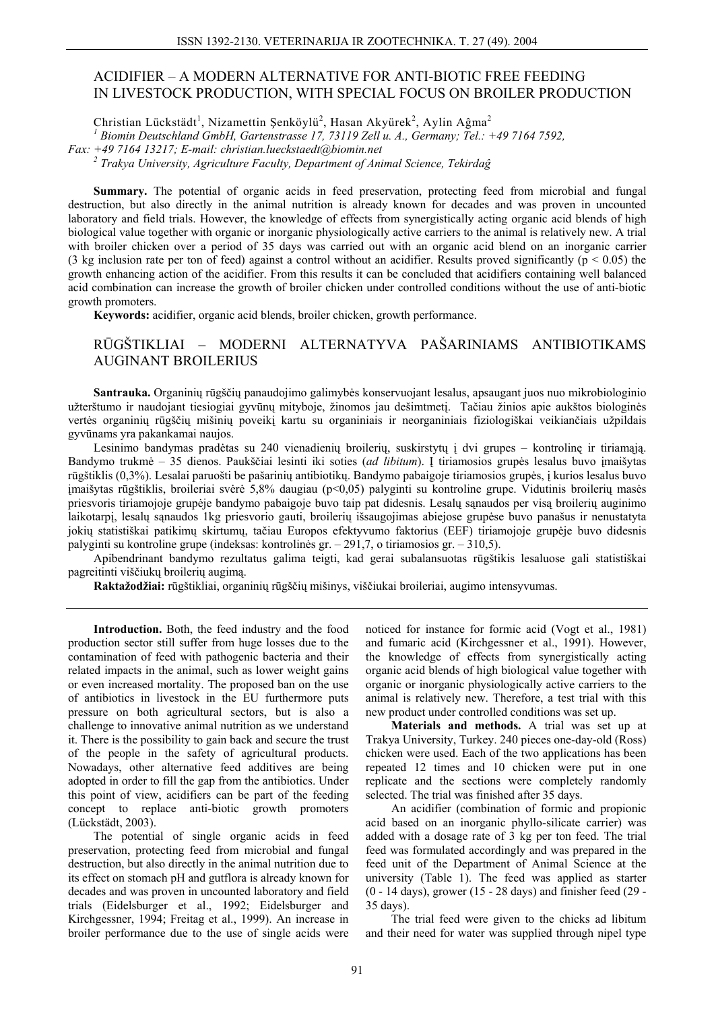# ACIDIFIER – A MODERN ALTERNATIVE FOR ANTI-BIOTIC FREE FEEDING IN LIVESTOCK PRODUCTION, WITH SPECIAL FOCUS ON BROILER PRODUCTION

Christian Lückstädt<sup>1</sup>, Nizamettin Şenköylü<sup>2</sup>, Hasan Akyürek<sup>2</sup>, Aylin Aĝma<sup>2</sup>

Biomin Deutschland GmbH, Gartenstrasse 17, 73119 Zell u. A., Germany; Tel.: +49 7164 7592,

Fax: +49 7164 13217; E-mail: christian.lueckstaedt@biomin.net

 $2$  Trakya University, Agriculture Faculty, Department of Animal Science, Tekirdag

Summary. The potential of organic acids in feed preservation, protecting feed from microbial and fungal destruction, but also directly in the animal nutrition is already known for decades and was proven in uncounted laboratory and field trials. However, the knowledge of effects from synergistically acting organic acid blends of high biological value together with organic or inorganic physiologically active carriers to the animal is relatively new. A trial with broiler chicken over a period of 35 days was carried out with an organic acid blend on an inorganic carrier (3 kg inclusion rate per ton of feed) against a control without an acidifier. Results proved significantly ( $p < 0.05$ ) the growth enhancing action of the acidifier. From this results it can be concluded that acidifiers containing well balanced acid combination can increase the growth of broiler chicken under controlled conditions without the use of anti-biotic growth promoters.

Keywords: acidifier, organic acid blends, broiler chicken, growth performance.

## RŪGŠTIKLIAI – MODERNI ALTERNATYVA PAŠARINIAMS ANTIBIOTIKAMS **AUGINANT BROILERIUS**

Santrauka. Organinių rūgščių panaudojimo galimybės konservuojant lesalus, apsaugant juos nuo mikrobiologinio užterštumo ir naudojant tiesiogiai gyvūnų mityboje, žinomos jau dešimtmetį. Tačiau žinios apie aukštos biologinės vertės organinių rūgščių mišinių poveikį kartu su organiniais ir neorganiniais fiziologiškai veikiančiais užpildais gyvūnams yra pakankamai naujos.

Lesinimo bandymas pradėtas su 240 vienadieniu broileriu, suskirstytu į dvi grupes – kontrolinę ir tiriamają. Bandymo trukmė – 35 dienos. Paukščiai lesinti iki soties (ad libitum). I tiriamosios grupės lesalus buvo imaišytas rūgštiklis (0,3%). Lesalai paruošti be pašarinių antibiotikų. Bandymo pabaigoje tiriamosios grupės, į kurios lesalus buvo jmaišytas rūgštiklis, broileriai svėrė 5,8% daugiau (p<0,05) palyginti su kontroline grupe. Vidutinis broilerių masės priesvoris tiriamojoje grupėje bandymo pabaigoje buvo taip pat didesnis. Lesalų sanaudos per visa broilerių auginimo laikotarpį, lesalų sąnaudos 1kg priesvorio gauti, broilerių išsaugojimas abiejose grupėse buvo panašus ir nenustatyta jokių statistiškai patikimų skirtumų, tačiau Europos efektyvumo faktorius (EEF) tiriamojoje grupėje buvo didesnis palyginti su kontroline grupe (indeksas: kontrolines gr.  $-291,7$ , o tiriamosios gr.  $-310,5$ ).

Apibendrinant bandymo rezultatus galima teigti, kad gerai subalansuotas rūgštikis lesaluose gali statistiškai pagreitinti viščiukų broilerių augima.

Raktažodžiai: rūgštikliai, organinių rūgščių mišinys, viščiukai broileriai, augimo intensyvumas.

Introduction. Both, the feed industry and the food production sector still suffer from huge losses due to the contamination of feed with pathogenic bacteria and their related impacts in the animal, such as lower weight gains or even increased mortality. The proposed ban on the use of antibiotics in livestock in the EU furthermore puts pressure on both agricultural sectors, but is also a challenge to innovative animal nutrition as we understand it. There is the possibility to gain back and secure the trust of the people in the safety of agricultural products. Nowadays, other alternative feed additives are being adopted in order to fill the gap from the antibiotics. Under this point of view, acidifiers can be part of the feeding concept to replace anti-biotic growth promoters (Lückstädt, 2003).

The potential of single organic acids in feed preservation, protecting feed from microbial and fungal destruction, but also directly in the animal nutrition due to its effect on stomach pH and gutflora is already known for decades and was proven in uncounted laboratory and field trials (Eidelsburger et al., 1992; Eidelsburger and Kirchgessner, 1994; Freitag et al., 1999). An increase in broiler performance due to the use of single acids were noticed for instance for formic acid (Vogt et al., 1981) and fumaric acid (Kirchgessner et al., 1991). However, the knowledge of effects from synergistically acting organic acid blends of high biological value together with organic or inorganic physiologically active carriers to the animal is relatively new. Therefore, a test trial with this new product under controlled conditions was set up.

Materials and methods. A trial was set up at Trakya University, Turkey. 240 pieces one-day-old (Ross) chicken were used. Each of the two applications has been repeated 12 times and 10 chicken were put in one replicate and the sections were completely randomly selected. The trial was finished after 35 days.

An acidifier (combination of formic and propionic acid based on an inorganic phyllo-silicate carrier) was added with a dosage rate of 3 kg per ton feed. The trial feed was formulated accordingly and was prepared in the feed unit of the Department of Animal Science at the university (Table 1). The feed was applied as starter  $(0 - 14 \text{ days})$ , grower  $(15 - 28 \text{ days})$  and finisher feed  $(29 35$  days).

The trial feed were given to the chicks ad libitum and their need for water was supplied through nipel type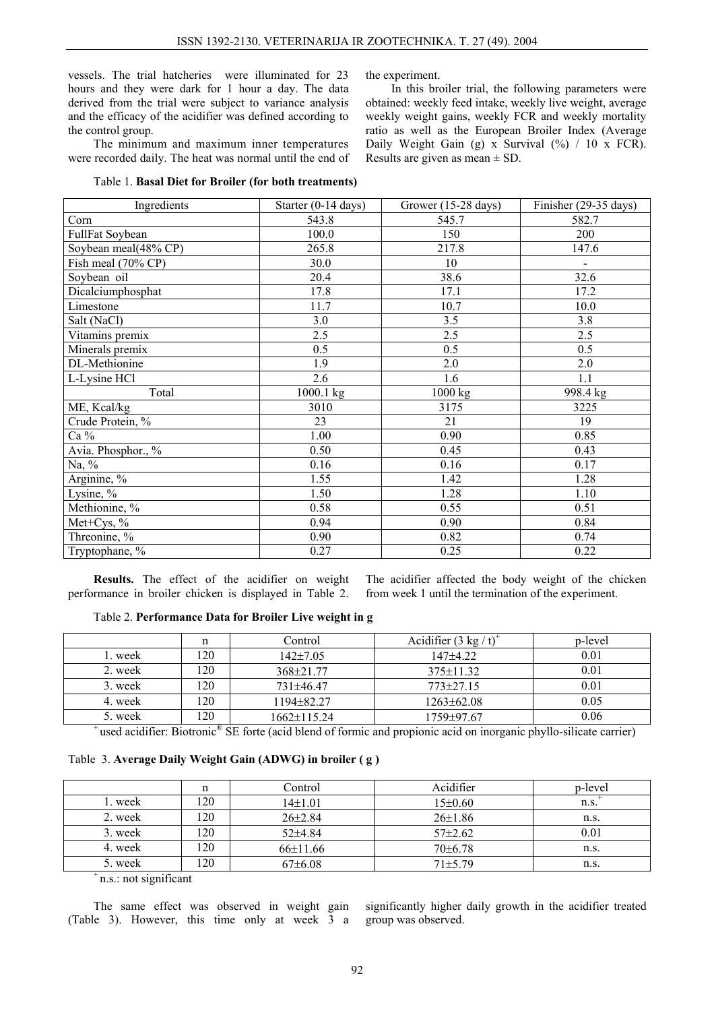vessels. The trial hatcheries were illuminated for 23 hours and they were dark for 1 hour a day. The data derived from the trial were subject to variance analysis and the efficacy of the acidifier was defined according to the control group.

The minimum and maximum inner temperatures were recorded daily. The heat was normal until the end of

Table 1. **Basal Diet for Broiler (for both treatments)** 

the experiment.

In this broiler trial, the following parameters were obtained: weekly feed intake, weekly live weight, average weekly weight gains, weekly FCR and weekly mortality ratio as well as the European Broiler Index (Average Daily Weight Gain (g) x Survival (%) / 10 x FCR). Results are given as mean  $\pm$  SD.

| Ingredients          | Starter (0-14 days) | Grower (15-28 days)  | Finisher $(29-35 \text{ days})$ |
|----------------------|---------------------|----------------------|---------------------------------|
| Corn                 | 543.8               | 545.7                | 582.7                           |
| FullFat Soybean      | 100.0               | 150                  | 200                             |
| Soybean meal(48% CP) | 265.8               | 217.8                | 147.6                           |
| Fish meal (70% CP)   | 30.0                | 10                   | $\qquad \qquad \blacksquare$    |
| Soybean oil          | 20.4                | 38.6                 | 32.6                            |
| Dicalciumphosphat    | 17.8                | 17.1                 | 17.2                            |
| Limestone            | 11.7                | 10.7                 | 10.0                            |
| Salt (NaCl)          | 3.0                 | 3.5                  | 3.8                             |
| Vitamins premix      | 2.5                 | 2.5                  | 2.5                             |
| Minerals premix      | 0.5                 | 0.5                  | 0.5                             |
| DL-Methionine        | 1.9                 | 2.0                  | 2.0                             |
| L-Lysine HCl         | 2.6                 | 1.6                  | 1.1                             |
| Total                | 1000.1 kg           | $\overline{1000}$ kg | 998.4 kg                        |
| ME, Kcal/kg          | 3010                | 3175                 | 3225                            |
| Crude Protein, %     | 23                  | 21                   | 19                              |
| Ca %                 | 1.00                | 0.90                 | 0.85                            |
| Avia. Phosphor., %   | 0.50                | 0.45                 | 0.43                            |
| Na, $\%$             | 0.16                | 0.16                 | 0.17                            |
| Arginine, %          | 1.55                | 1.42                 | 1.28                            |
| Lysine, $\%$         | 1.50                | 1.28                 | 1.10                            |
| Methionine, %        | 0.58                | 0.55                 | 0.51                            |
| Met+Cys, $%$         | 0.94                | 0.90                 | 0.84                            |
| Threonine, %         | 0.90                | 0.82                 | 0.74                            |
| Tryptophane, %       | 0.27                | 0.25                 | 0.22                            |

**Results.** The effect of the acidifier on weight performance in broiler chicken is displayed in Table 2. The acidifier affected the body weight of the chicken from week 1 until the termination of the experiment.

### Table 2. **Performance Data for Broiler Live weight in g**

|         |     | Control           | Acidifier $(3 \text{ kg}/t)^{4}$ | p-level |
|---------|-----|-------------------|----------------------------------|---------|
| l. week | 120 | $142 \pm 7.05$    | $147 + 4.22$                     | 0.01    |
| 2. week | 120 | $368\pm21.77$     | $375\pm11.32$                    | 0.01    |
| 3. week | 120 | 731±46.47         | $773\pm27.15$                    | 0.01    |
| 4. week | 120 | $1194\pm82.27$    | $1263\pm62.08$                   | 0.05    |
| 5. week | 120 | $1662 \pm 115.24$ | 1759±97.67                       | 0.06    |

 $^+$ used acidifier: Biotronic<sup>®</sup> SE forte (acid blend of formic and propionic acid on inorganic phyllo-silicate carrier)

### Table 3. **Average Daily Weight Gain (ADWG) in broiler ( g )**

|                       | n   | Control       | Acidifier     | p-level |
|-----------------------|-----|---------------|---------------|---------|
| 1. week               | 120 | $14\pm1.01$   | $15\pm0.60$   | n.S.    |
| 2. week               | 120 | $26 \pm 2.84$ | $26 \pm 1.86$ | n.s.    |
| 3. week               | 120 | $52+4.84$     | $57\pm2.62$   | 0.01    |
| 4. week               | 120 | $66\pm11.66$  | $70 \pm 6.78$ | n.s.    |
| 5. week               | 120 | $67\pm6.08$   | $71 + 5.79$   | n.s.    |
| n.s.: not significant |     |               |               |         |

The same effect was observed in weight gain (Table 3). However, this time only at week 3 a significantly higher daily growth in the acidifier treated group was observed.